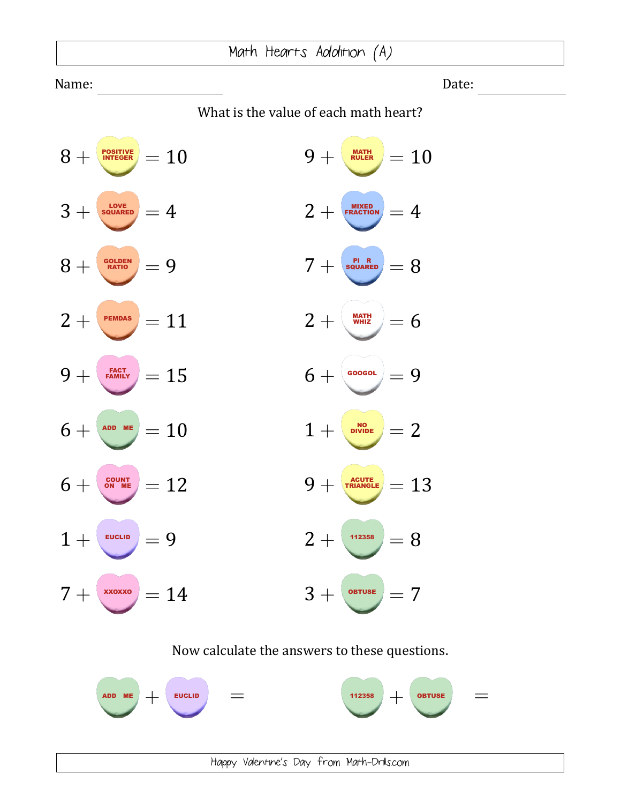Name: Date:

What is the value of each math heart?

| <b>POSITIVE</b><br>$8+$<br>$\dot{}=10$                                                         | $9+$<br>$\frac{MATH}{RULER}$ = 10                                         |
|------------------------------------------------------------------------------------------------|---------------------------------------------------------------------------|
| LOVE<br>SQUARED                                                                                | MIXED<br>FRACTION                                                         |
| $3+$                                                                                           | $2+$                                                                      |
| $=4$                                                                                           | $=4$                                                                      |
| $\left[\begin{smallmatrix}\texttt{GOLDEN} \texttt{RATION} \end{smallmatrix}\right]=9$          | $\begin{array}{c} \frac{\mathsf{PI-R}}{\mathsf{SQUARED}} = 8 \end{array}$ |
| $8+$                                                                                           | $7+$                                                                      |
| $2+$                                                                                           | MATH<br>WHIZ                                                              |
| PEMDAS                                                                                         | $2+$                                                                      |
| $=11$                                                                                          | $= 6$                                                                     |
| $\frac{FACT}{FAMILY} = 15$<br>$9+$                                                             | $6+$<br>GOOGOL<br>$=9$                                                    |
| $6 + \sqrt{300 \text{ me}} = 10$                                                               | NO<br>DIVIDE<br>$1 +$<br>$=2$                                             |
| $\left(\begin{smallmatrix} \text{COUNT} \ \text{ON} & \text{ME} \end{smallmatrix}\right) = 12$ | $\frac{acute}{TRIANCE} = 13$                                              |
| $6+$                                                                                           | $9+$                                                                      |
| $1 +$                                                                                          | $2+$                                                                      |
| EUCLID                                                                                         | 112358                                                                    |
| $=9$                                                                                           | $= 8$                                                                     |
| $7 + \sqrt{200}$<br>$=14$                                                                      | $3+$<br>$=7$<br>OBTUSE                                                    |

## Now calculate the answers to these questions.